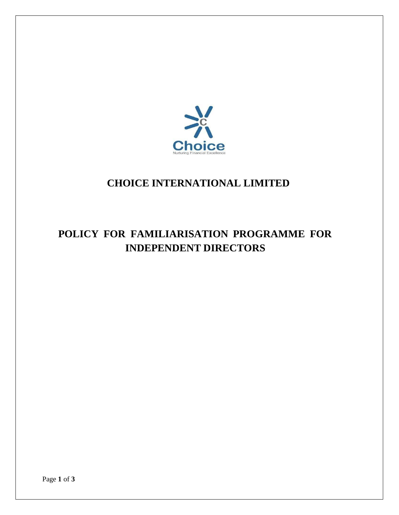

## **CHOICE INTERNATIONAL LIMITED**

# **POLICY FOR FAMILIARISATION PROGRAMME FOR INDEPENDENT DIRECTORS**

Page **1** of **3**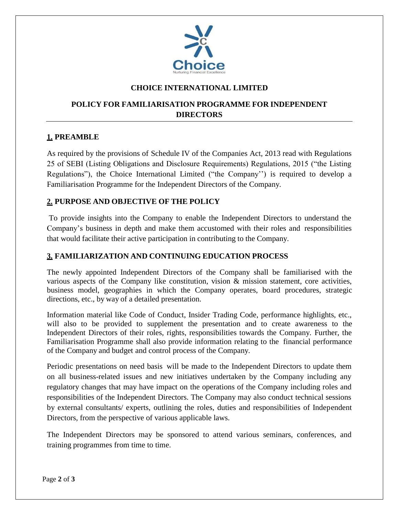

#### **CHOICE INTERNATIONAL LIMITED**

### **POLICY FOR FAMILIARISATION PROGRAMME FOR INDEPENDENT DIRECTORS**

#### **1. PREAMBLE**

As required by the provisions of Schedule IV of the Companies Act, 2013 read with Regulations 25 of SEBI (Listing Obligations and Disclosure Requirements) Regulations, 2015 ("the Listing Regulations"), the Choice International Limited ("the Company'') is required to develop a Familiarisation Programme for the Independent Directors of the Company.

#### **2. PURPOSE AND OBJECTIVE OF THE POLICY**

To provide insights into the Company to enable the Independent Directors to understand the Company's business in depth and make them accustomed with their roles and responsibilities that would facilitate their active participation in contributing to the Company.

#### **3. FAMILIARIZATION AND CONTINUING EDUCATION PROCESS**

The newly appointed Independent Directors of the Company shall be familiarised with the various aspects of the Company like constitution, vision & mission statement, core activities, business model, geographies in which the Company operates, board procedures, strategic directions, etc., by way of a detailed presentation.

Information material like Code of Conduct, Insider Trading Code, performance highlights, etc., will also to be provided to supplement the presentation and to create awareness to the Independent Directors of their roles, rights, responsibilities towards the Company. Further, the Familiarisation Programme shall also provide information relating to the financial performance of the Company and budget and control process of the Company.

Periodic presentations on need basis will be made to the Independent Directors to update them on all business-related issues and new initiatives undertaken by the Company including any regulatory changes that may have impact on the operations of the Company including roles and responsibilities of the Independent Directors. The Company may also conduct technical sessions by external consultants/ experts, outlining the roles, duties and responsibilities of Independent Directors, from the perspective of various applicable laws.

The Independent Directors may be sponsored to attend various seminars, conferences, and training programmes from time to time.